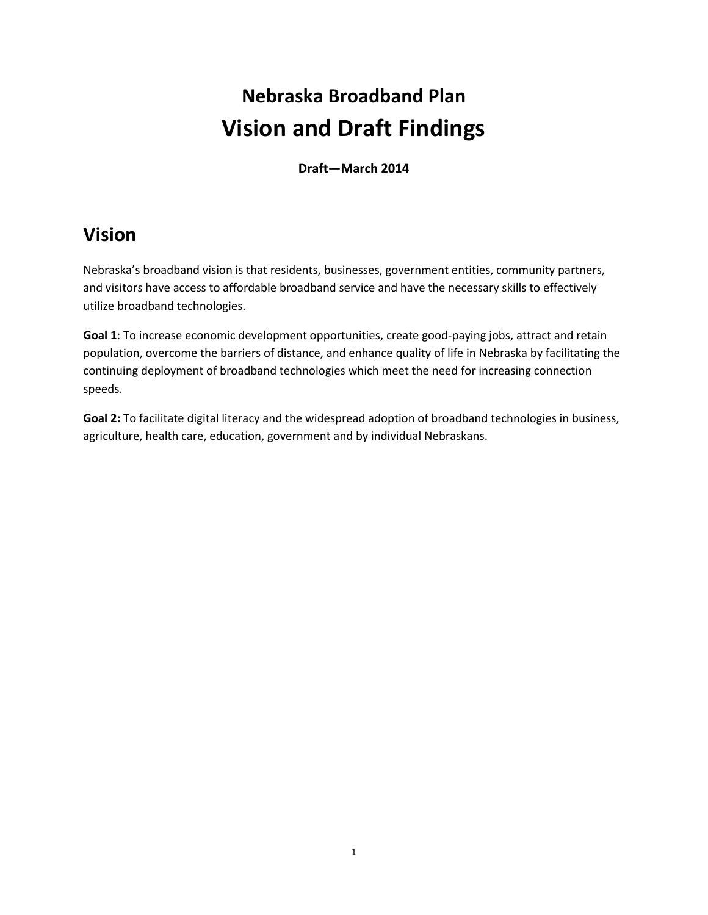# **Nebraska Broadband Plan Vision and Draft Findings**

**Draft—March 2014**

### **Vision**

Nebraska's broadband vision is that residents, businesses, government entities, community partners, and visitors have access to affordable broadband service and have the necessary skills to effectively utilize broadband technologies.

**Goal 1**: To increase economic development opportunities, create good-paying jobs, attract and retain population, overcome the barriers of distance, and enhance quality of life in Nebraska by facilitating the continuing deployment of broadband technologies which meet the need for increasing connection speeds.

**Goal 2:** To facilitate digital literacy and the widespread adoption of broadband technologies in business, agriculture, health care, education, government and by individual Nebraskans.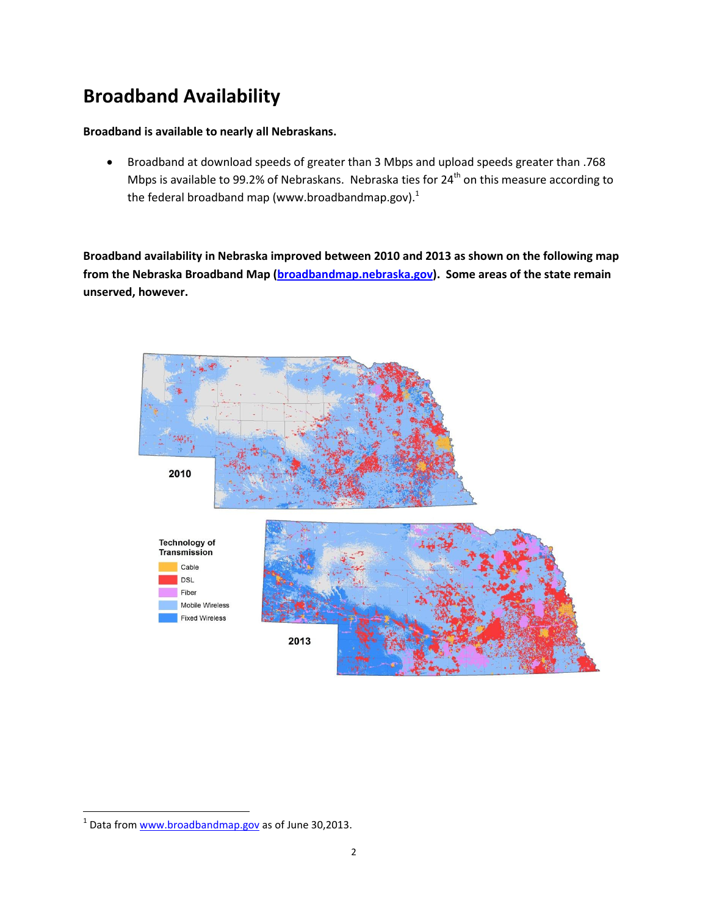## **Broadband Availability**

#### **Broadband is available to nearly all Nebraskans.**

 Broadband at download speeds of greater than 3 Mbps and upload speeds greater than .768 Mbps is available to 99.2% of Nebraskans. Nebraska ties for  $24<sup>th</sup>$  on this measure according to the federal broadband map (www.broadbandmap.gov).<sup>1</sup>

**Broadband availability in Nebraska improved between 2010 and 2013 as shown on the following map from the Nebraska Broadband Map [\(broadbandmap.nebraska.gov\)](http://broadbandmap.nebraska.gov/). Some areas of the state remain unserved, however.** 



 $\overline{\phantom{a}}$ 

<sup>&</sup>lt;sup>1</sup> Data from [www.broadbandmap.gov](http://www.broadbandmap.gov/) as of June 30,2013.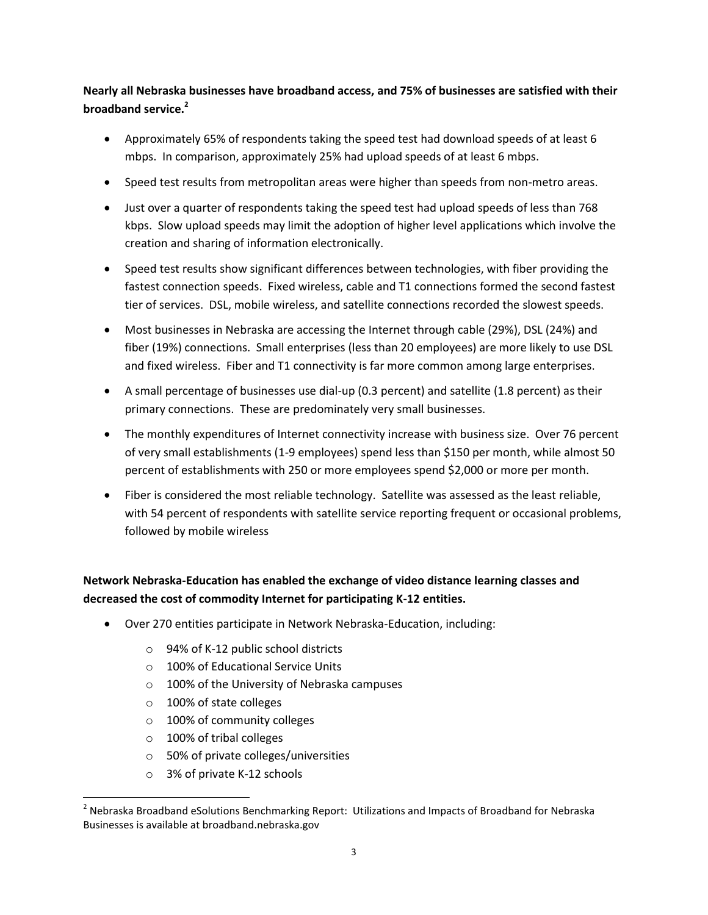**Nearly all Nebraska businesses have broadband access, and 75% of businesses are satisfied with their broadband service.<sup>2</sup>** 

- Approximately 65% of respondents taking the speed test had download speeds of at least 6 mbps. In comparison, approximately 25% had upload speeds of at least 6 mbps.
- Speed test results from metropolitan areas were higher than speeds from non-metro areas.
- Just over a quarter of respondents taking the speed test had upload speeds of less than 768 kbps. Slow upload speeds may limit the adoption of higher level applications which involve the creation and sharing of information electronically.
- Speed test results show significant differences between technologies, with fiber providing the fastest connection speeds. Fixed wireless, cable and T1 connections formed the second fastest tier of services. DSL, mobile wireless, and satellite connections recorded the slowest speeds.
- Most businesses in Nebraska are accessing the Internet through cable (29%), DSL (24%) and fiber (19%) connections. Small enterprises (less than 20 employees) are more likely to use DSL and fixed wireless. Fiber and T1 connectivity is far more common among large enterprises.
- A small percentage of businesses use dial-up (0.3 percent) and satellite (1.8 percent) as their primary connections. These are predominately very small businesses.
- The monthly expenditures of Internet connectivity increase with business size. Over 76 percent of very small establishments (1-9 employees) spend less than \$150 per month, while almost 50 percent of establishments with 250 or more employees spend \$2,000 or more per month.
- Fiber is considered the most reliable technology. Satellite was assessed as the least reliable, with 54 percent of respondents with satellite service reporting frequent or occasional problems, followed by mobile wireless

#### **Network Nebraska-Education has enabled the exchange of video distance learning classes and decreased the cost of commodity Internet for participating K-12 entities.**

- Over 270 entities participate in Network Nebraska-Education, including:
	- o 94% of K-12 public school districts
	- o 100% of Educational Service Units
	- o 100% of the University of Nebraska campuses
	- o 100% of state colleges
	- o 100% of community colleges
	- o 100% of tribal colleges

l

- o 50% of private colleges/universities
- o 3% of private K-12 schools

 $^{2}$  Nebraska Broadband eSolutions Benchmarking Report: Utilizations and Impacts of Broadband for Nebraska Businesses is available at broadband.nebraska.gov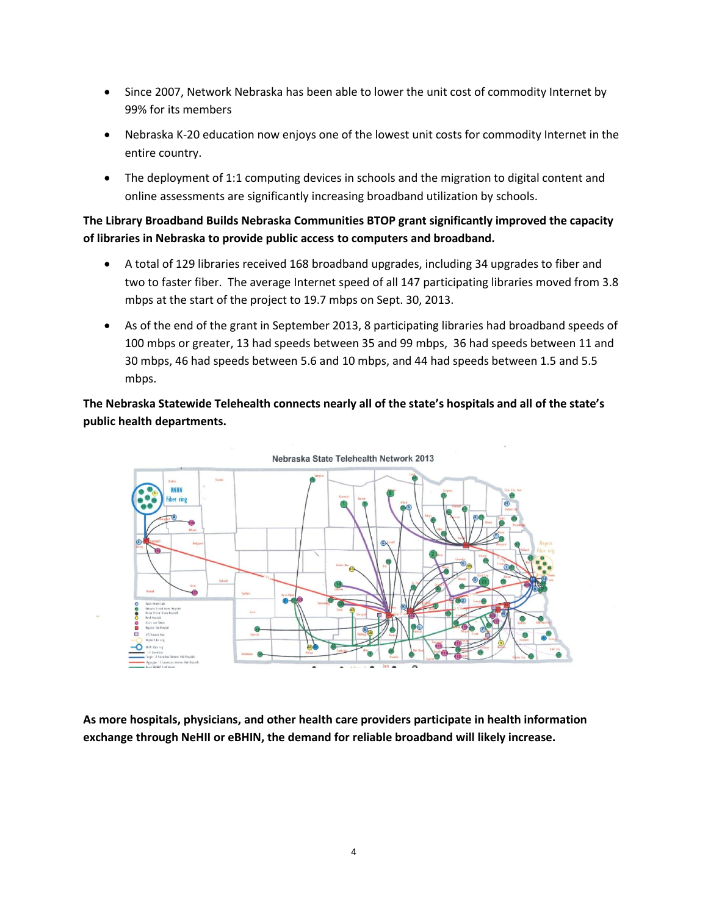- Since 2007, Network Nebraska has been able to lower the unit cost of commodity Internet by 99% for its members
- Nebraska K-20 education now enjoys one of the lowest unit costs for commodity Internet in the entire country.
- The deployment of 1:1 computing devices in schools and the migration to digital content and online assessments are significantly increasing broadband utilization by schools.

#### **The Library Broadband Builds Nebraska Communities BTOP grant significantly improved the capacity of libraries in Nebraska to provide public access to computers and broadband.**

- A total of 129 libraries received 168 broadband upgrades, including 34 upgrades to fiber and two to faster fiber. The average Internet speed of all 147 participating libraries moved from 3.8 mbps at the start of the project to 19.7 mbps on Sept. 30, 2013.
- As of the end of the grant in September 2013, 8 participating libraries had broadband speeds of 100 mbps or greater, 13 had speeds between 35 and 99 mbps, 36 had speeds between 11 and 30 mbps, 46 had speeds between 5.6 and 10 mbps, and 44 had speeds between 1.5 and 5.5 mbps.

**The Nebraska Statewide Telehealth connects nearly all of the state's hospitals and all of the state's public health departments.** 



**As more hospitals, physicians, and other health care providers participate in health information exchange through NeHII or eBHIN, the demand for reliable broadband will likely increase.**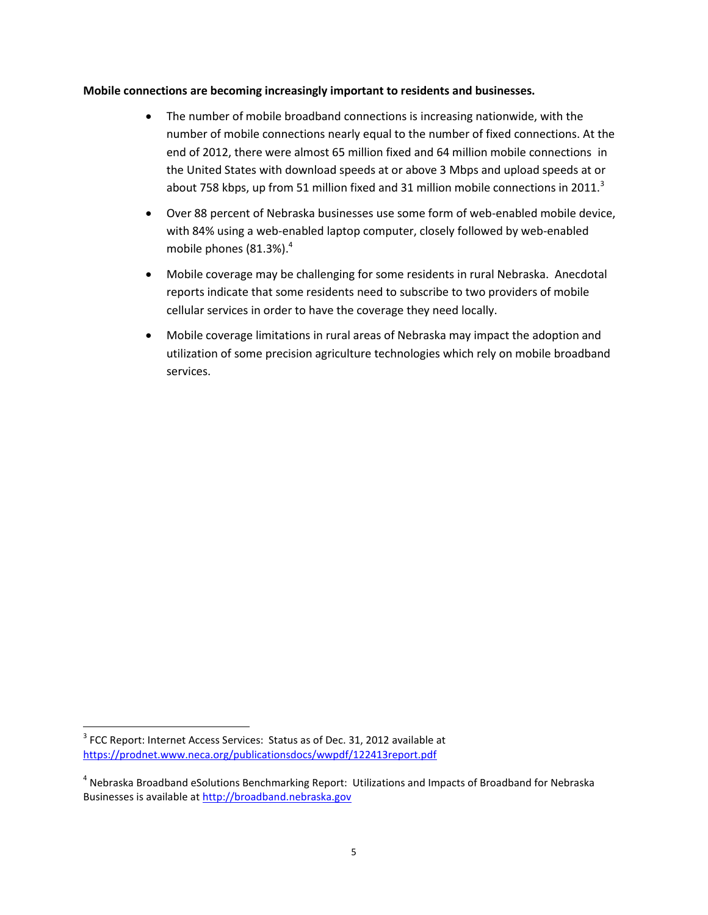#### **Mobile connections are becoming increasingly important to residents and businesses.**

- The number of mobile broadband connections is increasing nationwide, with the number of mobile connections nearly equal to the number of fixed connections. At the end of 2012, there were almost 65 million fixed and 64 million mobile connections in the United States with download speeds at or above 3 Mbps and upload speeds at or about 758 kbps, up from 51 million fixed and 31 million mobile connections in 2011. $3$
- Over 88 percent of Nebraska businesses use some form of web-enabled mobile device, with 84% using a web-enabled laptop computer, closely followed by web-enabled mobile phones (81.3%). 4
- Mobile coverage may be challenging for some residents in rural Nebraska. Anecdotal reports indicate that some residents need to subscribe to two providers of mobile cellular services in order to have the coverage they need locally.
- Mobile coverage limitations in rural areas of Nebraska may impact the adoption and utilization of some precision agriculture technologies which rely on mobile broadband services.

 $\overline{\phantom{a}}$ 

 $3$  FCC Report: Internet Access Services: Status as of Dec. 31, 2012 available at <https://prodnet.www.neca.org/publicationsdocs/wwpdf/122413report.pdf>

<sup>&</sup>lt;sup>4</sup> Nebraska Broadband eSolutions Benchmarking Report: Utilizations and Impacts of Broadband for Nebraska Businesses is available at [http://broadband.nebraska.gov](http://broadband.nebraska.gov/)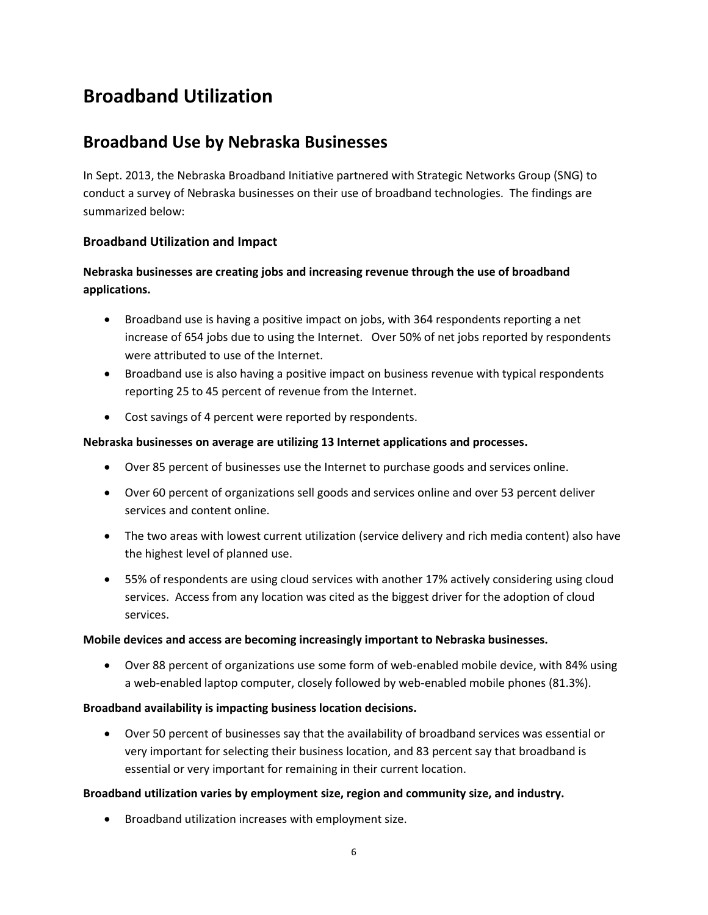## **Broadband Utilization**

### **Broadband Use by Nebraska Businesses**

In Sept. 2013, the Nebraska Broadband Initiative partnered with Strategic Networks Group (SNG) to conduct a survey of Nebraska businesses on their use of broadband technologies. The findings are summarized below:

#### **Broadband Utilization and Impact**

#### **Nebraska businesses are creating jobs and increasing revenue through the use of broadband applications.**

- Broadband use is having a positive impact on jobs, with 364 respondents reporting a net increase of 654 jobs due to using the Internet. Over 50% of net jobs reported by respondents were attributed to use of the Internet.
- Broadband use is also having a positive impact on business revenue with typical respondents reporting 25 to 45 percent of revenue from the Internet.
- Cost savings of 4 percent were reported by respondents.

#### **Nebraska businesses on average are utilizing 13 Internet applications and processes.**

- Over 85 percent of businesses use the Internet to purchase goods and services online.
- Over 60 percent of organizations sell goods and services online and over 53 percent deliver services and content online.
- The two areas with lowest current utilization (service delivery and rich media content) also have the highest level of planned use.
- 55% of respondents are using cloud services with another 17% actively considering using cloud services. Access from any location was cited as the biggest driver for the adoption of cloud services.

#### **Mobile devices and access are becoming increasingly important to Nebraska businesses.**

 Over 88 percent of organizations use some form of web-enabled mobile device, with 84% using a web-enabled laptop computer, closely followed by web-enabled mobile phones (81.3%).

#### **Broadband availability is impacting business location decisions.**

 Over 50 percent of businesses say that the availability of broadband services was essential or very important for selecting their business location, and 83 percent say that broadband is essential or very important for remaining in their current location.

#### **Broadband utilization varies by employment size, region and community size, and industry.**

Broadband utilization increases with employment size.